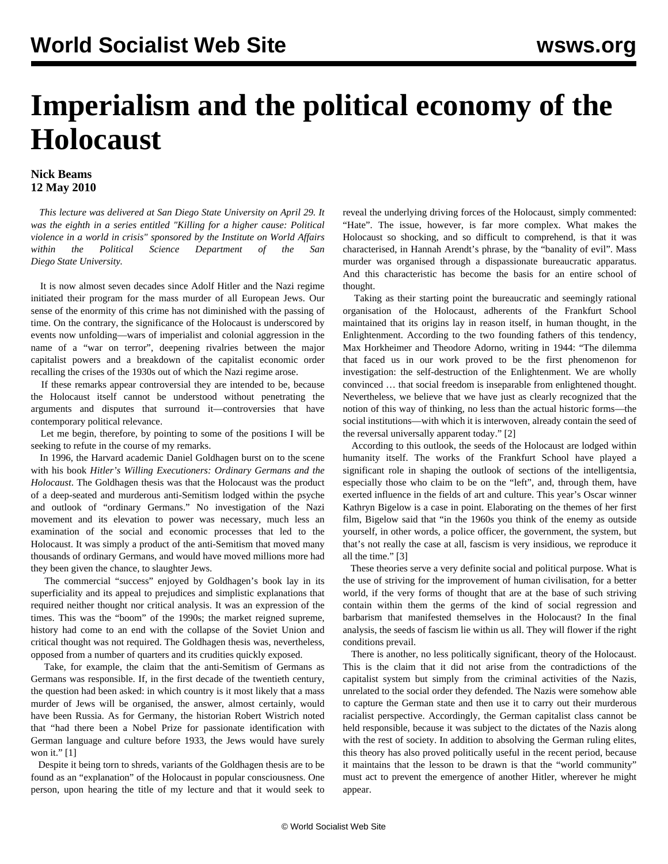## <span id="page-0-0"></span>**Imperialism and the political economy of the Holocaust**

## **Nick Beams 12 May 2010**

 *This lecture was delivered at San Diego State University on April 29. It was the eighth in a series entitled "Killing for a higher cause: Political violence in a world in crisis" sponsored by the Institute on World Affairs within the Political Science Department of the San Diego State University.* 

 It is now almost seven decades since Adolf Hitler and the Nazi regime initiated their program for the mass murder of all European Jews. Our sense of the enormity of this crime has not diminished with the passing of time. On the contrary, the significance of the Holocaust is underscored by events now unfolding—wars of imperialist and colonial aggression in the name of a "war on terror", deepening rivalries between the major capitalist powers and a breakdown of the capitalist economic order recalling the crises of the 1930s out of which the Nazi regime arose.

 If these remarks appear controversial they are intended to be, because the Holocaust itself cannot be understood without penetrating the arguments and disputes that surround it—controversies that have contemporary political relevance.

 Let me begin, therefore, by pointing to some of the positions I will be seeking to refute in the course of my remarks.

 In 1996, the Harvard academic Daniel Goldhagen burst on to the scene with his book *Hitler's Willing Executioners: Ordinary Germans and the Holocaust*. The Goldhagen thesis was that the Holocaust was the product of a deep-seated and murderous anti-Semitism lodged within the psyche and outlook of "ordinary Germans." No investigation of the Nazi movement and its elevation to power was necessary, much less an examination of the social and economic processes that led to the Holocaust. It was simply a product of the anti-Semitism that moved many thousands of ordinary Germans, and would have moved millions more had they been given the chance, to slaughter Jews.

 The commercial "success" enjoyed by Goldhagen's book lay in its superficiality and its appeal to prejudices and simplistic explanations that required neither thought nor critical analysis. It was an expression of the times. This was the "boom" of the 1990s; the market reigned supreme, history had come to an end with the collapse of the Soviet Union and critical thought was not required. The Goldhagen thesis was, nevertheless, opposed from a number of quarters and its crudities quickly exposed.

 Take, for example, the claim that the anti-Semitism of Germans as Germans was responsible. If, in the first decade of the twentieth century, the question had been asked: in which country is it most likely that a mass murder of Jews will be organised, the answer, almost certainly, would have been Russia. As for Germany, the historian Robert Wistrich noted that "had there been a Nobel Prize for passionate identification with German language and culture before 1933, the Jews would have surely won it." [[1](#page-0-0)]

 Despite it being torn to shreds, variants of the Goldhagen thesis are to be found as an "explanation" of the Holocaust in popular consciousness. One person, upon hearing the title of my lecture and that it would seek to

reveal the underlying driving forces of the Holocaust, simply commented: "Hate". The issue, however, is far more complex. What makes the Holocaust so shocking, and so difficult to comprehend, is that it was characterised, in Hannah Arendt's phrase, by the "banality of evil". Mass murder was organised through a dispassionate bureaucratic apparatus. And this characteristic has become the basis for an entire school of thought.

 Taking as their starting point the bureaucratic and seemingly rational organisation of the Holocaust, adherents of the Frankfurt School maintained that its origins lay in reason itself, in human thought, in the Enlightenment. According to the two founding fathers of this tendency, Max Horkheimer and Theodore Adorno, writing in 1944: "The dilemma that faced us in our work proved to be the first phenomenon for investigation: the self-destruction of the Enlightenment. We are wholly convinced … that social freedom is inseparable from enlightened thought. Nevertheless, we believe that we have just as clearly recognized that the notion of this way of thinking, no less than the actual historic forms—the social institutions—with which it is interwoven, already contain the seed of the reversal universally apparent today." [\[2\]](#page-1-0)

 According to this outlook, the seeds of the Holocaust are lodged within humanity itself. The works of the Frankfurt School have played a significant role in shaping the outlook of sections of the intelligentsia, especially those who claim to be on the "left", and, through them, have exerted influence in the fields of art and culture. This year's Oscar winner Kathryn Bigelow is a case in point. Elaborating on the themes of her first film, Bigelow said that "in the 1960s you think of the enemy as outside yourself, in other words, a police officer, the government, the system, but that's not really the case at all, fascism is very insidious, we reproduce it all the time." [\[3\]](#page-2-0)

 These theories serve a very definite social and political purpose. What is the use of striving for the improvement of human civilisation, for a better world, if the very forms of thought that are at the base of such striving contain within them the germs of the kind of social regression and barbarism that manifested themselves in the Holocaust? In the final analysis, the seeds of fascism lie within us all. They will flower if the right conditions prevail.

 There is another, no less politically significant, theory of the Holocaust. This is the claim that it did not arise from the contradictions of the capitalist system but simply from the criminal activities of the Nazis, unrelated to the social order they defended. The Nazis were somehow able to capture the German state and then use it to carry out their murderous racialist perspective. Accordingly, the German capitalist class cannot be held responsible, because it was subject to the dictates of the Nazis along with the rest of society. In addition to absolving the German ruling elites, this theory has also proved politically useful in the recent period, because it maintains that the lesson to be drawn is that the "world community" must act to prevent the emergence of another Hitler, wherever he might appear.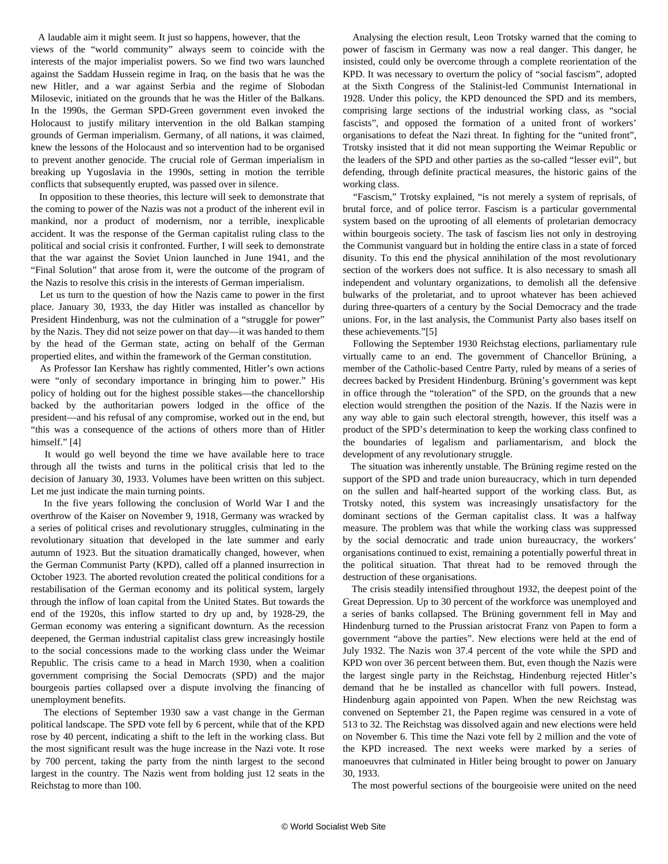<span id="page-1-0"></span> A laudable aim it might seem. It just so happens, however, that the views of the "world community" always seem to coincide with the interests of the major imperialist powers. So we find two wars launched against the Saddam Hussein regime in Iraq, on the basis that he was the new Hitler, and a war against Serbia and the regime of Slobodan Milosevic, initiated on the grounds that he was the Hitler of the Balkans. In the 1990s, the German SPD-Green government even invoked the Holocaust to justify military intervention in the old Balkan stamping grounds of German imperialism. Germany, of all nations, it was claimed, knew the lessons of the Holocaust and so intervention had to be organised to prevent another genocide. The crucial role of German imperialism in breaking up Yugoslavia in the 1990s, setting in motion the terrible conflicts that subsequently erupted, was passed over in silence.

 In opposition to these theories, this lecture will seek to demonstrate that the coming to power of the Nazis was not a product of the inherent evil in mankind, nor a product of modernism, nor a terrible, inexplicable accident. It was the response of the German capitalist ruling class to the political and social crisis it confronted. Further, I will seek to demonstrate that the war against the Soviet Union launched in June 1941, and the "Final Solution" that arose from it, were the outcome of the program of the Nazis to resolve this crisis in the interests of German imperialism.

 Let us turn to the question of how the Nazis came to power in the first place. January 30, 1933, the day Hitler was installed as chancellor by President Hindenburg, was not the culmination of a "struggle for power" by the Nazis. They did not seize power on that day—it was handed to them by the head of the German state, acting on behalf of the German propertied elites, and within the framework of the German constitution.

 As Professor Ian Kershaw has rightly commented, Hitler's own actions were "only of secondary importance in bringing him to power." His policy of holding out for the highest possible stakes—the chancellorship backed by the authoritarian powers lodged in the office of the president—and his refusal of any compromise, worked out in the end, but "this was a consequence of the actions of others more than of Hitler himself." [[4](#page-3-0)]

 It would go well beyond the time we have available here to trace through all the twists and turns in the political crisis that led to the decision of January 30, 1933. Volumes have been written on this subject. Let me just indicate the main turning points.

 In the five years following the conclusion of World War I and the overthrow of the Kaiser on November 9, 1918, Germany was wracked by a series of political crises and revolutionary struggles, culminating in the revolutionary situation that developed in the late summer and early autumn of 1923. But the situation dramatically changed, however, when the German Communist Party (KPD), called off a planned insurrection in October 1923. The aborted revolution created the political conditions for a restabilisation of the German economy and its political system, largely through the inflow of loan capital from the United States. But towards the end of the 1920s, this inflow started to dry up and, by 1928-29, the German economy was entering a significant downturn. As the recession deepened, the German industrial capitalist class grew increasingly hostile to the social concessions made to the working class under the Weimar Republic. The crisis came to a head in March 1930, when a coalition government comprising the Social Democrats (SPD) and the major bourgeois parties collapsed over a dispute involving the financing of unemployment benefits.

 The elections of September 1930 saw a vast change in the German political landscape. The SPD vote fell by 6 percent, while that of the KPD rose by 40 percent, indicating a shift to the left in the working class. But the most significant result was the huge increase in the Nazi vote. It rose by 700 percent, taking the party from the ninth largest to the second largest in the country. The Nazis went from holding just 12 seats in the Reichstag to more than 100.

 Analysing the election result, Leon Trotsky warned that the coming to power of fascism in Germany was now a real danger. This danger, he insisted, could only be overcome through a complete reorientation of the KPD. It was necessary to overturn the policy of "social fascism", adopted at the Sixth Congress of the Stalinist-led Communist International in 1928. Under this policy, the KPD denounced the SPD and its members, comprising large sections of the industrial working class, as "social fascists", and opposed the formation of a united front of workers' organisations to defeat the Nazi threat. In fighting for the "united front", Trotsky insisted that it did not mean supporting the Weimar Republic or the leaders of the SPD and other parties as the so-called "lesser evil", but defending, through definite practical measures, the historic gains of the working class.

 "Fascism," Trotsky explained, "is not merely a system of reprisals, of brutal force, and of police terror. Fascism is a particular governmental system based on the uprooting of all elements of proletarian democracy within bourgeois society. The task of fascism lies not only in destroying the Communist vanguard but in holding the entire class in a state of forced disunity. To this end the physical annihilation of the most revolutionary section of the workers does not suffice. It is also necessary to smash all independent and voluntary organizations, to demolish all the defensive bulwarks of the proletariat, and to uproot whatever has been achieved during three-quarters of a century by the Social Democracy and the trade unions. For, in the last analysis, the Communist Party also bases itself on these achievements."[\[5\]](#page-4-0)

 Following the September 1930 Reichstag elections, parliamentary rule virtually came to an end. The government of Chancellor Brüning, a member of the Catholic-based Centre Party, ruled by means of a series of decrees backed by President Hindenburg. Brüning's government was kept in office through the "toleration" of the SPD, on the grounds that a new election would strengthen the position of the Nazis. If the Nazis were in any way able to gain such electoral strength, however, this itself was a product of the SPD's determination to keep the working class confined to the boundaries of legalism and parliamentarism, and block the development of any revolutionary struggle.

 The situation was inherently unstable. The Brüning regime rested on the support of the SPD and trade union bureaucracy, which in turn depended on the sullen and half-hearted support of the working class. But, as Trotsky noted, this system was increasingly unsatisfactory for the dominant sections of the German capitalist class. It was a halfway measure. The problem was that while the working class was suppressed by the social democratic and trade union bureaucracy, the workers' organisations continued to exist, remaining a potentially powerful threat in the political situation. That threat had to be removed through the destruction of these organisations.

 The crisis steadily intensified throughout 1932, the deepest point of the Great Depression. Up to 30 percent of the workforce was unemployed and a series of banks collapsed. The Brüning government fell in May and Hindenburg turned to the Prussian aristocrat Franz von Papen to form a government "above the parties". New elections were held at the end of July 1932. The Nazis won 37.4 percent of the vote while the SPD and KPD won over 36 percent between them. But, even though the Nazis were the largest single party in the Reichstag, Hindenburg rejected Hitler's demand that he be installed as chancellor with full powers. Instead, Hindenburg again appointed von Papen. When the new Reichstag was convened on September 21, the Papen regime was censured in a vote of 513 to 32. The Reichstag was dissolved again and new elections were held on November 6. This time the Nazi vote fell by 2 million and the vote of the KPD increased. The next weeks were marked by a series of manoeuvres that culminated in Hitler being brought to power on January 30, 1933.

The most powerful sections of the bourgeoisie were united on the need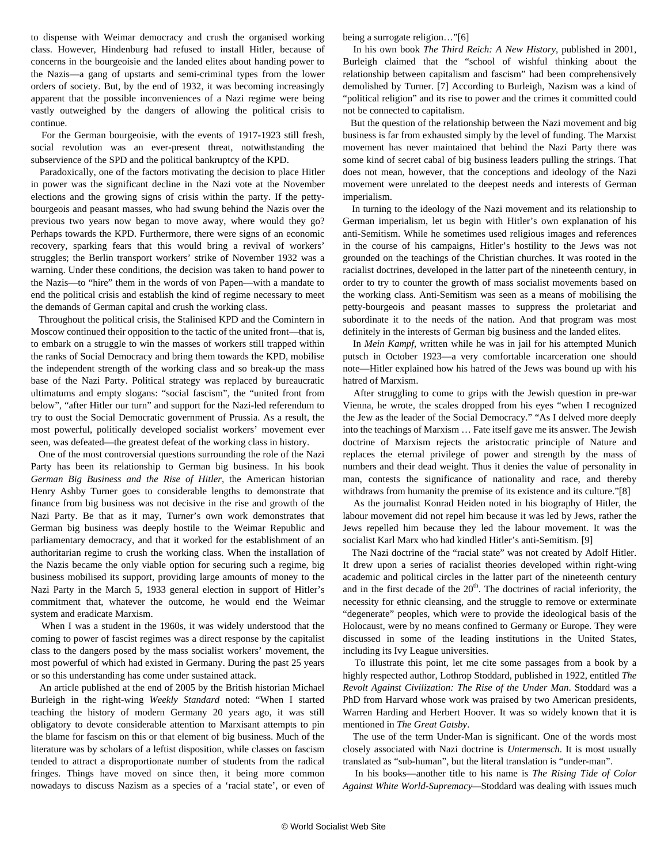<span id="page-2-0"></span>to dispense with Weimar democracy and crush the organised working class. However, Hindenburg had refused to install Hitler, because of concerns in the bourgeoisie and the landed elites about handing power to the Nazis—a gang of upstarts and semi-criminal types from the lower orders of society. But, by the end of 1932, it was becoming increasingly apparent that the possible inconveniences of a Nazi regime were being vastly outweighed by the dangers of allowing the political crisis to continue.

 For the German bourgeoisie, with the events of 1917-1923 still fresh, social revolution was an ever-present threat, notwithstanding the subservience of the SPD and the political bankruptcy of the KPD.

 Paradoxically, one of the factors motivating the decision to place Hitler in power was the significant decline in the Nazi vote at the November elections and the growing signs of crisis within the party. If the pettybourgeois and peasant masses, who had swung behind the Nazis over the previous two years now began to move away, where would they go? Perhaps towards the KPD. Furthermore, there were signs of an economic recovery, sparking fears that this would bring a revival of workers' struggles; the Berlin transport workers' strike of November 1932 was a warning. Under these conditions, the decision was taken to hand power to the Nazis—to "hire" them in the words of von Papen—with a mandate to end the political crisis and establish the kind of regime necessary to meet the demands of German capital and crush the working class.

 Throughout the political crisis, the Stalinised KPD and the Comintern in Moscow continued their opposition to the tactic of the united front—that is, to embark on a struggle to win the masses of workers still trapped within the ranks of Social Democracy and bring them towards the KPD, mobilise the independent strength of the working class and so break-up the mass base of the Nazi Party. Political strategy was replaced by bureaucratic ultimatums and empty slogans: "social fascism", the "united front from below", "after Hitler our turn" and support for the Nazi-led referendum to try to oust the Social Democratic government of Prussia. As a result, the most powerful, politically developed socialist workers' movement ever seen, was defeated—the greatest defeat of the working class in history.

 One of the most controversial questions surrounding the role of the Nazi Party has been its relationship to German big business. In his book *German Big Business and the Rise of Hitler,* the American historian Henry Ashby Turner goes to considerable lengths to demonstrate that finance from big business was not decisive in the rise and growth of the Nazi Party. Be that as it may, Turner's own work demonstrates that German big business was deeply hostile to the Weimar Republic and parliamentary democracy, and that it worked for the establishment of an authoritarian regime to crush the working class. When the installation of the Nazis became the only viable option for securing such a regime, big business mobilised its support, providing large amounts of money to the Nazi Party in the March 5, 1933 general election in support of Hitler's commitment that, whatever the outcome, he would end the Weimar system and eradicate Marxism.

 When I was a student in the 1960s, it was widely understood that the coming to power of fascist regimes was a direct response by the capitalist class to the dangers posed by the mass socialist workers' movement, the most powerful of which had existed in Germany. During the past 25 years or so this understanding has come under sustained attack.

 An article published at the end of 2005 by the British historian Michael Burleigh in the right-wing *Weekly Standard* noted: "When I started teaching the history of modern Germany 20 years ago, it was still obligatory to devote considerable attention to Marxisant attempts to pin the blame for fascism on this or that element of big business. Much of the literature was by scholars of a leftist disposition, while classes on fascism tended to attract a disproportionate number of students from the radical fringes. Things have moved on since then, it being more common nowadays to discuss Nazism as a species of a 'racial state', or even of being a surrogate religion…"[[6](#page-5-0)]

 In his own book *The Third Reich: A New History*, published in 2001, Burleigh claimed that the "school of wishful thinking about the relationship between capitalism and fascism" had been comprehensively demolished by Turner. [[7](#page-6-0)] According to Burleigh, Nazism was a kind of "political religion" and its rise to power and the crimes it committed could not be connected to capitalism.

 But the question of the relationship between the Nazi movement and big business is far from exhausted simply by the level of funding. The Marxist movement has never maintained that behind the Nazi Party there was some kind of secret cabal of big business leaders pulling the strings. That does not mean, however, that the conceptions and ideology of the Nazi movement were unrelated to the deepest needs and interests of German imperialism.

 In turning to the ideology of the Nazi movement and its relationship to German imperialism, let us begin with Hitler's own explanation of his anti-Semitism. While he sometimes used religious images and references in the course of his campaigns, Hitler's hostility to the Jews was not grounded on the teachings of the Christian churches. It was rooted in the racialist doctrines, developed in the latter part of the nineteenth century, in order to try to counter the growth of mass socialist movements based on the working class. Anti-Semitism was seen as a means of mobilising the petty-bourgeois and peasant masses to suppress the proletariat and subordinate it to the needs of the nation. And that program was most definitely in the interests of German big business and the landed elites.

 In *Mein Kampf*, written while he was in jail for his attempted Munich putsch in October 1923—a very comfortable incarceration one should note—Hitler explained how his hatred of the Jews was bound up with his hatred of Marxism.

 After struggling to come to grips with the Jewish question in pre-war Vienna, he wrote, the scales dropped from his eyes "when I recognized the Jew as the leader of the Social Democracy." "As I delved more deeply into the teachings of Marxism … Fate itself gave me its answer. The Jewish doctrine of Marxism rejects the aristocratic principle of Nature and replaces the eternal privilege of power and strength by the mass of numbers and their dead weight. Thus it denies the value of personality in man, contests the significance of nationality and race, and thereby withdraws from humanity the premise of its existence and its culture."[[8](#page-7-0)]

 As the journalist Konrad Heiden noted in his biography of Hitler, the labour movement did not repel him because it was led by Jews, rather the Jews repelled him because they led the labour movement. It was the socialist Karl Marx who had kindled Hitler's anti-Semitism. [\[9\]](#page-8-0)

 The Nazi doctrine of the "racial state" was not created by Adolf Hitler. It drew upon a series of racialist theories developed within right-wing academic and political circles in the latter part of the nineteenth century and in the first decade of the  $20<sup>th</sup>$ . The doctrines of racial inferiority, the necessity for ethnic cleansing, and the struggle to remove or exterminate "degenerate" peoples, which were to provide the ideological basis of the Holocaust, were by no means confined to Germany or Europe. They were discussed in some of the leading institutions in the United States, including its Ivy League universities.

 To illustrate this point, let me cite some passages from a book by a highly respected author, Lothrop Stoddard, published in 1922, entitled *The Revolt Against Civilization: The Rise of the Under Man*. Stoddard was a PhD from Harvard whose work was praised by two American presidents, Warren Harding and Herbert Hoover. It was so widely known that it is mentioned in *The Great Gatsby*.

 The use of the term Under-Man is significant. One of the words most closely associated with Nazi doctrine is *Untermensch*. It is most usually translated as "sub-human", but the literal translation is "under-man".

 In his books—another title to his name is *The Rising Tide of Color Against White World-Supremacy—*Stoddard was dealing with issues much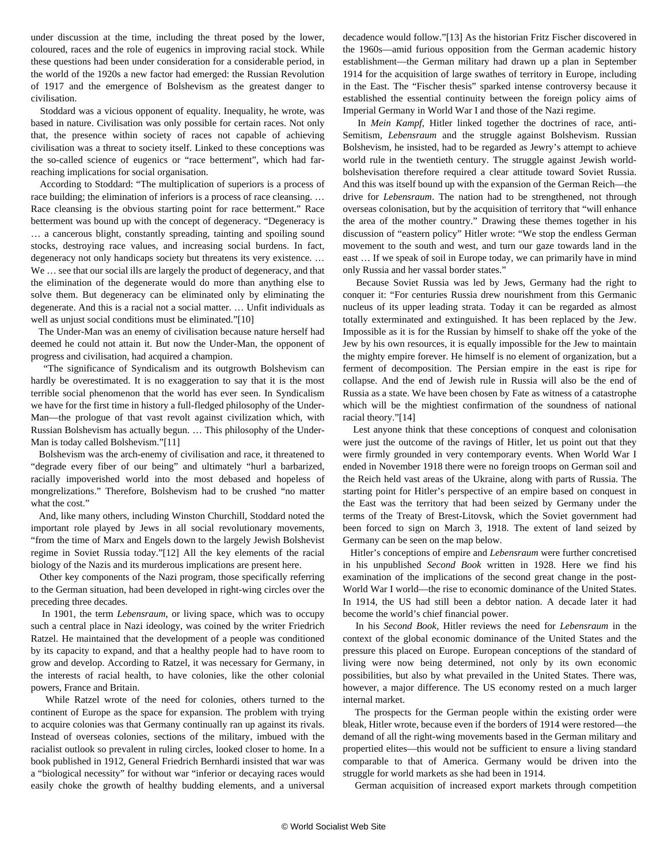<span id="page-3-0"></span>under discussion at the time, including the threat posed by the lower, coloured, races and the role of eugenics in improving racial stock. While these questions had been under consideration for a considerable period, in the world of the 1920s a new factor had emerged: the Russian Revolution of 1917 and the emergence of Bolshevism as the greatest danger to civilisation.

 Stoddard was a vicious opponent of equality. Inequality, he wrote, was based in nature. Civilisation was only possible for certain races. Not only that, the presence within society of races not capable of achieving civilisation was a threat to society itself. Linked to these conceptions was the so-called science of eugenics or "race betterment", which had farreaching implications for social organisation.

 According to Stoddard: "The multiplication of superiors is a process of race building; the elimination of inferiors is a process of race cleansing. … Race cleansing is the obvious starting point for race betterment." Race betterment was bound up with the concept of degeneracy. "Degeneracy is … a cancerous blight, constantly spreading, tainting and spoiling sound stocks, destroying race values, and increasing social burdens. In fact, degeneracy not only handicaps society but threatens its very existence. … We … see that our social ills are largely the product of degeneracy, and that the elimination of the degenerate would do more than anything else to solve them. But degeneracy can be eliminated only by eliminating the degenerate. And this is a racial not a social matter. … Unfit individuals as well as unjust social conditions must be eliminated."[10]

 The Under-Man was an enemy of civilisation because nature herself had deemed he could not attain it. But now the Under-Man, the opponent of progress and civilisation, had acquired a champion.

 "The significance of Syndicalism and its outgrowth Bolshevism can hardly be overestimated. It is no exaggeration to say that it is the most terrible social phenomenon that the world has ever seen. In Syndicalism we have for the first time in history a full-fledged philosophy of the Under-Man—the prologue of that vast revolt against civilization which, with Russian Bolshevism has actually begun. … This philosophy of the Under-Man is today called Bolshevism."[11]

 Bolshevism was the arch-enemy of civilisation and race, it threatened to "degrade every fiber of our being" and ultimately "hurl a barbarized, racially impoverished world into the most debased and hopeless of mongrelizations." Therefore, Bolshevism had to be crushed "no matter what the cost."

 And, like many others, including Winston Churchill, Stoddard noted the important role played by Jews in all social revolutionary movements, "from the time of Marx and Engels down to the largely Jewish Bolshevist regime in Soviet Russia today."[12] All the key elements of the racial biology of the Nazis and its murderous implications are present here.

 Other key components of the Nazi program, those specifically referring to the German situation, had been developed in right-wing circles over the preceding three decades.

 In 1901, the term *Lebensraum*, or living space, which was to occupy such a central place in Nazi ideology, was coined by the writer Friedrich Ratzel. He maintained that the development of a people was conditioned by its capacity to expand, and that a healthy people had to have room to grow and develop. According to Ratzel, it was necessary for Germany, in the interests of racial health, to have colonies, like the other colonial powers, France and Britain.

 While Ratzel wrote of the need for colonies, others turned to the continent of Europe as the space for expansion. The problem with trying to acquire colonies was that Germany continually ran up against its rivals. Instead of overseas colonies, sections of the military, imbued with the racialist outlook so prevalent in ruling circles, looked closer to home. In a book published in 1912, General Friedrich Bernhardi insisted that war was a "biological necessity" for without war "inferior or decaying races would easily choke the growth of healthy budding elements, and a universal

decadence would follow."[13] As the historian Fritz Fischer discovered in the 1960s—amid furious opposition from the German academic history establishment—the German military had drawn up a plan in September 1914 for the acquisition of large swathes of territory in Europe, including in the East. The "Fischer thesis" sparked intense controversy because it established the essential continuity between the foreign policy aims of Imperial Germany in World War I and those of the Nazi regime.

 In *Mein Kampf*, Hitler linked together the doctrines of race, anti-Semitism, *Lebensraum* and the struggle against Bolshevism. Russian Bolshevism, he insisted, had to be regarded as Jewry's attempt to achieve world rule in the twentieth century. The struggle against Jewish worldbolshevisation therefore required a clear attitude toward Soviet Russia. And this was itself bound up with the expansion of the German Reich—the drive for *Lebensraum*. The nation had to be strengthened, not through overseas colonisation, but by the acquisition of territory that "will enhance the area of the mother country." Drawing these themes together in his discussion of "eastern policy" Hitler wrote: "We stop the endless German movement to the south and west, and turn our gaze towards land in the east … If we speak of soil in Europe today, we can primarily have in mind only Russia and her vassal border states."

 Because Soviet Russia was led by Jews, Germany had the right to conquer it: "For centuries Russia drew nourishment from this Germanic nucleus of its upper leading strata. Today it can be regarded as almost totally exterminated and extinguished. It has been replaced by the Jew. Impossible as it is for the Russian by himself to shake off the yoke of the Jew by his own resources, it is equally impossible for the Jew to maintain the mighty empire forever. He himself is no element of organization, but a ferment of decomposition. The Persian empire in the east is ripe for collapse. And the end of Jewish rule in Russia will also be the end of Russia as a state. We have been chosen by Fate as witness of a catastrophe which will be the mightiest confirmation of the soundness of national racial theory."[14]

 Lest anyone think that these conceptions of conquest and colonisation were just the outcome of the ravings of Hitler, let us point out that they were firmly grounded in very contemporary events. When World War I ended in November 1918 there were no foreign troops on German soil and the Reich held vast areas of the Ukraine, along with parts of Russia. The starting point for Hitler's perspective of an empire based on conquest in the East was the territory that had been seized by Germany under the terms of the Treaty of Brest-Litovsk, which the Soviet government had been forced to sign on March 3, 1918. The extent of land seized by Germany can be seen on the map below.

 Hitler's conceptions of empire and *Lebensraum* were further concretised in his unpublished *Second Book* written in 1928. Here we find his examination of the implications of the second great change in the post-World War I world—the rise to economic dominance of the United States. In 1914, the US had still been a debtor nation. A decade later it had become the world's chief financial power.

 In his *Second Book,* Hitler reviews the need for *Lebensraum* in the context of the global economic dominance of the United States and the pressure this placed on Europe. European conceptions of the standard of living were now being determined, not only by its own economic possibilities, but also by what prevailed in the United States. There was, however, a major difference. The US economy rested on a much larger internal market.

 The prospects for the German people within the existing order were bleak, Hitler wrote, because even if the borders of 1914 were restored—the demand of all the right-wing movements based in the German military and propertied elites—this would not be sufficient to ensure a living standard comparable to that of America. Germany would be driven into the struggle for world markets as she had been in 1914.

German acquisition of increased export markets through competition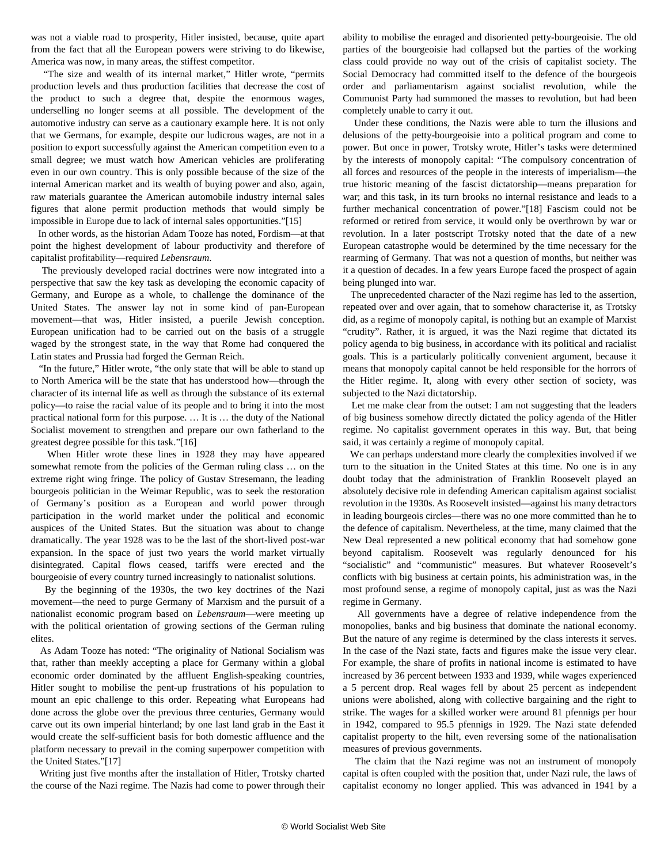<span id="page-4-0"></span>was not a viable road to prosperity, Hitler insisted, because, quite apart from the fact that all the European powers were striving to do likewise, America was now, in many areas, the stiffest competitor.

 "The size and wealth of its internal market," Hitler wrote, "permits production levels and thus production facilities that decrease the cost of the product to such a degree that, despite the enormous wages, underselling no longer seems at all possible. The development of the automotive industry can serve as a cautionary example here. It is not only that we Germans, for example, despite our ludicrous wages, are not in a position to export successfully against the American competition even to a small degree; we must watch how American vehicles are proliferating even in our own country. This is only possible because of the size of the internal American market and its wealth of buying power and also, again, raw materials guarantee the American automobile industry internal sales figures that alone permit production methods that would simply be impossible in Europe due to lack of internal sales opportunities."[15]

 In other words, as the historian Adam Tooze has noted, Fordism—at that point the highest development of labour productivity and therefore of capitalist profitability—required *Lebensraum*.

 The previously developed racial doctrines were now integrated into a perspective that saw the key task as developing the economic capacity of Germany, and Europe as a whole, to challenge the dominance of the United States. The answer lay not in some kind of pan-European movement—that was, Hitler insisted, a puerile Jewish conception. European unification had to be carried out on the basis of a struggle waged by the strongest state, in the way that Rome had conquered the Latin states and Prussia had forged the German Reich.

 "In the future," Hitler wrote, "the only state that will be able to stand up to North America will be the state that has understood how—through the character of its internal life as well as through the substance of its external policy—to raise the racial value of its people and to bring it into the most practical national form for this purpose. … It is … the duty of the National Socialist movement to strengthen and prepare our own fatherland to the greatest degree possible for this task."[16]

 When Hitler wrote these lines in 1928 they may have appeared somewhat remote from the policies of the German ruling class … on the extreme right wing fringe. The policy of Gustav Stresemann, the leading bourgeois politician in the Weimar Republic, was to seek the restoration of Germany's position as a European and world power through participation in the world market under the political and economic auspices of the United States. But the situation was about to change dramatically. The year 1928 was to be the last of the short-lived post-war expansion. In the space of just two years the world market virtually disintegrated. Capital flows ceased, tariffs were erected and the bourgeoisie of every country turned increasingly to nationalist solutions.

 By the beginning of the 1930s, the two key doctrines of the Nazi movement—the need to purge Germany of Marxism and the pursuit of a nationalist economic program based on *Lebensraum*—were meeting up with the political orientation of growing sections of the German ruling elites.

 As Adam Tooze has noted: "The originality of National Socialism was that, rather than meekly accepting a place for Germany within a global economic order dominated by the affluent English-speaking countries, Hitler sought to mobilise the pent-up frustrations of his population to mount an epic challenge to this order. Repeating what Europeans had done across the globe over the previous three centuries, Germany would carve out its own imperial hinterland; by one last land grab in the East it would create the self-sufficient basis for both domestic affluence and the platform necessary to prevail in the coming superpower competition with the United States."[17]

 Writing just five months after the installation of Hitler, Trotsky charted the course of the Nazi regime. The Nazis had come to power through their ability to mobilise the enraged and disoriented petty-bourgeoisie. The old parties of the bourgeoisie had collapsed but the parties of the working class could provide no way out of the crisis of capitalist society. The Social Democracy had committed itself to the defence of the bourgeois order and parliamentarism against socialist revolution, while the Communist Party had summoned the masses to revolution, but had been completely unable to carry it out.

 Under these conditions, the Nazis were able to turn the illusions and delusions of the petty-bourgeoisie into a political program and come to power. But once in power, Trotsky wrote, Hitler's tasks were determined by the interests of monopoly capital: "The compulsory concentration of all forces and resources of the people in the interests of imperialism—the true historic meaning of the fascist dictatorship—means preparation for war; and this task, in its turn brooks no internal resistance and leads to a further mechanical concentration of power."[18] Fascism could not be reformed or retired from service, it would only be overthrown by war or revolution. In a later postscript Trotsky noted that the date of a new European catastrophe would be determined by the time necessary for the rearming of Germany. That was not a question of months, but neither was it a question of decades. In a few years Europe faced the prospect of again being plunged into war.

 The unprecedented character of the Nazi regime has led to the assertion, repeated over and over again, that to somehow characterise it, as Trotsky did, as a regime of monopoly capital, is nothing but an example of Marxist "crudity". Rather, it is argued, it was the Nazi regime that dictated its policy agenda to big business, in accordance with its political and racialist goals. This is a particularly politically convenient argument, because it means that monopoly capital cannot be held responsible for the horrors of the Hitler regime. It, along with every other section of society, was subjected to the Nazi dictatorship.

 Let me make clear from the outset: I am not suggesting that the leaders of big business somehow directly dictated the policy agenda of the Hitler regime. No capitalist government operates in this way. But, that being said, it was certainly a regime of monopoly capital.

 We can perhaps understand more clearly the complexities involved if we turn to the situation in the United States at this time. No one is in any doubt today that the administration of Franklin Roosevelt played an absolutely decisive role in defending American capitalism against socialist revolution in the 1930s. As Roosevelt insisted—against his many detractors in leading bourgeois circles—there was no one more committed than he to the defence of capitalism. Nevertheless, at the time, many claimed that the New Deal represented a new political economy that had somehow gone beyond capitalism. Roosevelt was regularly denounced for his "socialistic" and "communistic" measures. But whatever Roosevelt's conflicts with big business at certain points, his administration was, in the most profound sense, a regime of monopoly capital, just as was the Nazi regime in Germany.

 All governments have a degree of relative independence from the monopolies, banks and big business that dominate the national economy. But the nature of any regime is determined by the class interests it serves. In the case of the Nazi state, facts and figures make the issue very clear. For example, the share of profits in national income is estimated to have increased by 36 percent between 1933 and 1939, while wages experienced a 5 percent drop. Real wages fell by about 25 percent as independent unions were abolished, along with collective bargaining and the right to strike. The wages for a skilled worker were around 81 pfennigs per hour in 1942, compared to 95.5 pfennigs in 1929. The Nazi state defended capitalist property to the hilt, even reversing some of the nationalisation measures of previous governments.

 The claim that the Nazi regime was not an instrument of monopoly capital is often coupled with the position that, under Nazi rule, the laws of capitalist economy no longer applied. This was advanced in 1941 by a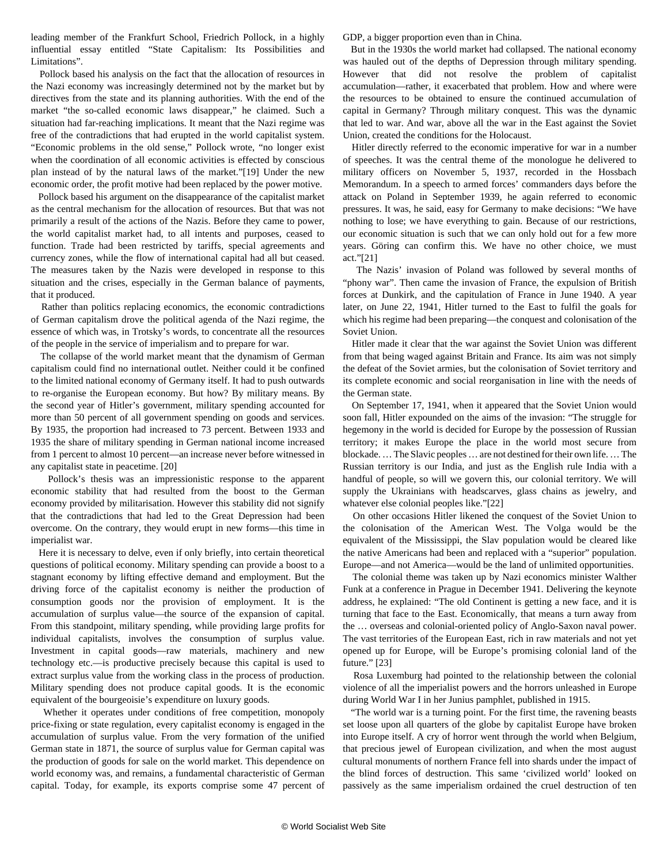<span id="page-5-0"></span>leading member of the Frankfurt School, Friedrich Pollock, in a highly influential essay entitled "State Capitalism: Its Possibilities and Limitations".

 Pollock based his analysis on the fact that the allocation of resources in the Nazi economy was increasingly determined not by the market but by directives from the state and its planning authorities. With the end of the market "the so-called economic laws disappear," he claimed. Such a situation had far-reaching implications. It meant that the Nazi regime was free of the contradictions that had erupted in the world capitalist system. "Economic problems in the old sense," Pollock wrote, "no longer exist when the coordination of all economic activities is effected by conscious plan instead of by the natural laws of the market."[19] Under the new economic order, the profit motive had been replaced by the power motive.

 Pollock based his argument on the disappearance of the capitalist market as the central mechanism for the allocation of resources. But that was not primarily a result of the actions of the Nazis. Before they came to power, the world capitalist market had, to all intents and purposes, ceased to function. Trade had been restricted by tariffs, special agreements and currency zones, while the flow of international capital had all but ceased. The measures taken by the Nazis were developed in response to this situation and the crises, especially in the German balance of payments, that it produced.

 Rather than politics replacing economics, the economic contradictions of German capitalism drove the political agenda of the Nazi regime, the essence of which was, in Trotsky's words, to concentrate all the resources of the people in the service of imperialism and to prepare for war.

 The collapse of the world market meant that the dynamism of German capitalism could find no international outlet. Neither could it be confined to the limited national economy of Germany itself. It had to push outwards to re-organise the European economy. But how? By military means. By the second year of Hitler's government, military spending accounted for more than 50 percent of all government spending on goods and services. By 1935, the proportion had increased to 73 percent. Between 1933 and 1935 the share of military spending in German national income increased from 1 percent to almost 10 percent—an increase never before witnessed in any capitalist state in peacetime. [20]

 Pollock's thesis was an impressionistic response to the apparent economic stability that had resulted from the boost to the German economy provided by militarisation. However this stability did not signify that the contradictions that had led to the Great Depression had been overcome. On the contrary, they would erupt in new forms—this time in imperialist war.

 Here it is necessary to delve, even if only briefly, into certain theoretical questions of political economy. Military spending can provide a boost to a stagnant economy by lifting effective demand and employment. But the driving force of the capitalist economy is neither the production of consumption goods nor the provision of employment. It is the accumulation of surplus value—the source of the expansion of capital. From this standpoint, military spending, while providing large profits for individual capitalists, involves the consumption of surplus value. Investment in capital goods—raw materials, machinery and new technology etc.—is productive precisely because this capital is used to extract surplus value from the working class in the process of production. Military spending does not produce capital goods. It is the economic equivalent of the bourgeoisie's expenditure on luxury goods.

 Whether it operates under conditions of free competition, monopoly price-fixing or state regulation, every capitalist economy is engaged in the accumulation of surplus value. From the very formation of the unified German state in 1871, the source of surplus value for German capital was the production of goods for sale on the world market. This dependence on world economy was, and remains, a fundamental characteristic of German capital. Today, for example, its exports comprise some 47 percent of GDP, a bigger proportion even than in China.

 But in the 1930s the world market had collapsed. The national economy was hauled out of the depths of Depression through military spending. However that did not resolve the problem of capitalist accumulation—rather, it exacerbated that problem. How and where were the resources to be obtained to ensure the continued accumulation of capital in Germany? Through military conquest. This was the dynamic that led to war. And war, above all the war in the East against the Soviet Union, created the conditions for the Holocaust.

 Hitler directly referred to the economic imperative for war in a number of speeches. It was the central theme of the monologue he delivered to military officers on November 5, 1937, recorded in the Hossbach Memorandum. In a speech to armed forces' commanders days before the attack on Poland in September 1939, he again referred to economic pressures. It was, he said, easy for Germany to make decisions: "We have nothing to lose; we have everything to gain. Because of our restrictions, our economic situation is such that we can only hold out for a few more years. Göring can confirm this. We have no other choice, we must act."[21]

 The Nazis' invasion of Poland was followed by several months of "phony war". Then came the invasion of France, the expulsion of British forces at Dunkirk, and the capitulation of France in June 1940. A year later, on June 22, 1941, Hitler turned to the East to fulfil the goals for which his regime had been preparing—the conquest and colonisation of the Soviet Union.

 Hitler made it clear that the war against the Soviet Union was different from that being waged against Britain and France. Its aim was not simply the defeat of the Soviet armies, but the colonisation of Soviet territory and its complete economic and social reorganisation in line with the needs of the German state.

 On September 17, 1941, when it appeared that the Soviet Union would soon fall, Hitler expounded on the aims of the invasion: "The struggle for hegemony in the world is decided for Europe by the possession of Russian territory; it makes Europe the place in the world most secure from blockade. … The Slavic peoples … are not destined for their own life. … The Russian territory is our India, and just as the English rule India with a handful of people, so will we govern this, our colonial territory. We will supply the Ukrainians with headscarves, glass chains as jewelry, and whatever else colonial peoples like."[22]

 On other occasions Hitler likened the conquest of the Soviet Union to the colonisation of the American West. The Volga would be the equivalent of the Mississippi, the Slav population would be cleared like the native Americans had been and replaced with a "superior" population. Europe—and not America—would be the land of unlimited opportunities.

 The colonial theme was taken up by Nazi economics minister Walther Funk at a conference in Prague in December 1941. Delivering the keynote address, he explained: "The old Continent is getting a new face, and it is turning that face to the East. Economically, that means a turn away from the … overseas and colonial-oriented policy of Anglo-Saxon naval power. The vast territories of the European East, rich in raw materials and not yet opened up for Europe, will be Europe's promising colonial land of the future." [23]

 Rosa Luxemburg had pointed to the relationship between the colonial violence of all the imperialist powers and the horrors unleashed in Europe during World War I in her Junius pamphlet, published in 1915.

 "The world war is a turning point. For the first time, the ravening beasts set loose upon all quarters of the globe by capitalist Europe have broken into Europe itself. A cry of horror went through the world when Belgium, that precious jewel of European civilization, and when the most august cultural monuments of northern France fell into shards under the impact of the blind forces of destruction. This same 'civilized world' looked on passively as the same imperialism ordained the cruel destruction of ten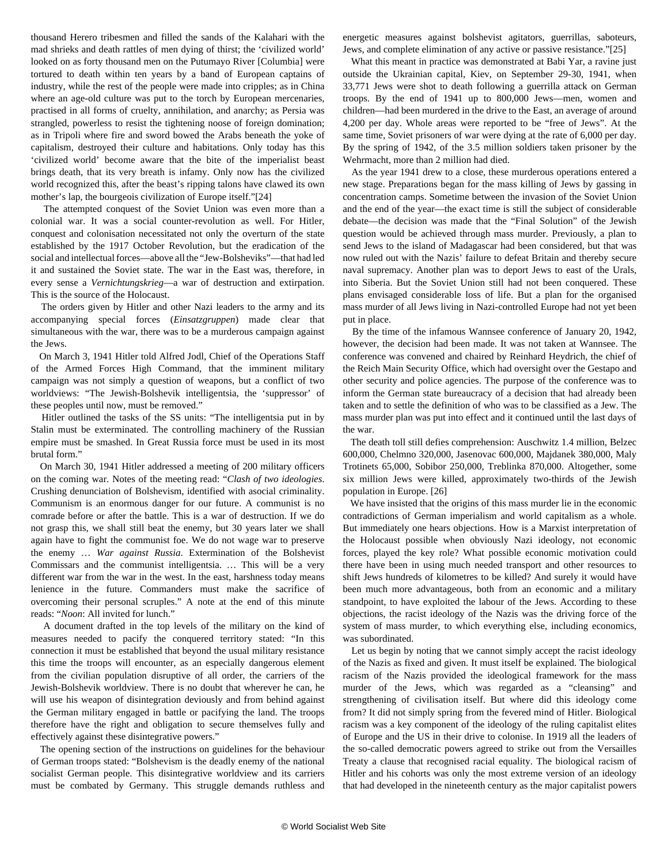<span id="page-6-0"></span>thousand Herero tribesmen and filled the sands of the Kalahari with the mad shrieks and death rattles of men dying of thirst; the 'civilized world' looked on as forty thousand men on the Putumayo River [Columbia] were tortured to death within ten years by a band of European captains of industry, while the rest of the people were made into cripples; as in China where an age-old culture was put to the torch by European mercenaries, practised in all forms of cruelty, annihilation, and anarchy; as Persia was strangled, powerless to resist the tightening noose of foreign domination; as in Tripoli where fire and sword bowed the Arabs beneath the yoke of capitalism, destroyed their culture and habitations. Only today has this 'civilized world' become aware that the bite of the imperialist beast brings death, that its very breath is infamy. Only now has the civilized world recognized this, after the beast's ripping talons have clawed its own mother's lap, the bourgeois civilization of Europe itself."[24]

 The attempted conquest of the Soviet Union was even more than a colonial war. It was a social counter-revolution as well. For Hitler, conquest and colonisation necessitated not only the overturn of the state established by the 1917 October Revolution, but the eradication of the social and intellectual forces—above all the "Jew-Bolsheviks"—that had led it and sustained the Soviet state. The war in the East was, therefore, in every sense a *Vernichtungskrieg*—a war of destruction and extirpation. This is the source of the Holocaust.

 The orders given by Hitler and other Nazi leaders to the army and its accompanying special forces (*Einsatzgruppen*) made clear that simultaneous with the war, there was to be a murderous campaign against the Jews.

 On March 3, 1941 Hitler told Alfred Jodl, Chief of the Operations Staff of the Armed Forces High Command, that the imminent military campaign was not simply a question of weapons, but a conflict of two worldviews: "The Jewish-Bolshevik intelligentsia, the 'suppressor' of these peoples until now, must be removed."

 Hitler outlined the tasks of the SS units: "The intelligentsia put in by Stalin must be exterminated. The controlling machinery of the Russian empire must be smashed. In Great Russia force must be used in its most brutal form."

 On March 30, 1941 Hitler addressed a meeting of 200 military officers on the coming war. Notes of the meeting read: "*Clash of two ideologies*. Crushing denunciation of Bolshevism, identified with asocial criminality. Communism is an enormous danger for our future. A communist is no comrade before or after the battle. This is a war of destruction. If we do not grasp this, we shall still beat the enemy, but 30 years later we shall again have to fight the communist foe. We do not wage war to preserve the enemy … *War against Russia*. Extermination of the Bolshevist Commissars and the communist intelligentsia. … This will be a very different war from the war in the west. In the east, harshness today means lenience in the future. Commanders must make the sacrifice of overcoming their personal scruples." A note at the end of this minute reads: "*Noon*: All invited for lunch."

 A document drafted in the top levels of the military on the kind of measures needed to pacify the conquered territory stated: "In this connection it must be established that beyond the usual military resistance this time the troops will encounter, as an especially dangerous element from the civilian population disruptive of all order, the carriers of the Jewish-Bolshevik worldview. There is no doubt that wherever he can, he will use his weapon of disintegration deviously and from behind against the German military engaged in battle or pacifying the land. The troops therefore have the right and obligation to secure themselves fully and effectively against these disintegrative powers."

 The opening section of the instructions on guidelines for the behaviour of German troops stated: "Bolshevism is the deadly enemy of the national socialist German people. This disintegrative worldview and its carriers must be combated by Germany. This struggle demands ruthless and energetic measures against bolshevist agitators, guerrillas, saboteurs, Jews, and complete elimination of any active or passive resistance."[25]

 What this meant in practice was demonstrated at Babi Yar, a ravine just outside the Ukrainian capital, Kiev, on September 29-30, 1941, when 33,771 Jews were shot to death following a guerrilla attack on German troops. By the end of 1941 up to 800,000 Jews—men, women and children—had been murdered in the drive to the East, an average of around 4,200 per day. Whole areas were reported to be "free of Jews". At the same time, Soviet prisoners of war were dying at the rate of 6,000 per day. By the spring of 1942, of the 3.5 million soldiers taken prisoner by the Wehrmacht, more than 2 million had died.

 As the year 1941 drew to a close, these murderous operations entered a new stage. Preparations began for the mass killing of Jews by gassing in concentration camps. Sometime between the invasion of the Soviet Union and the end of the year—the exact time is still the subject of considerable debate—the decision was made that the "Final Solution" of the Jewish question would be achieved through mass murder. Previously, a plan to send Jews to the island of Madagascar had been considered, but that was now ruled out with the Nazis' failure to defeat Britain and thereby secure naval supremacy. Another plan was to deport Jews to east of the Urals, into Siberia. But the Soviet Union still had not been conquered. These plans envisaged considerable loss of life. But a plan for the organised mass murder of all Jews living in Nazi-controlled Europe had not yet been put in place.

 By the time of the infamous Wannsee conference of January 20, 1942, however, the decision had been made. It was not taken at Wannsee. The conference was convened and chaired by Reinhard Heydrich, the chief of the Reich Main Security Office, which had oversight over the Gestapo and other security and police agencies. The purpose of the conference was to inform the German state bureaucracy of a decision that had already been taken and to settle the definition of who was to be classified as a Jew. The mass murder plan was put into effect and it continued until the last days of the war.

 The death toll still defies comprehension: Auschwitz 1.4 million, Belzec 600,000, Chelmno 320,000, Jasenovac 600,000, Majdanek 380,000, Maly Trotinets 65,000, Sobibor 250,000, Treblinka 870,000. Altogether, some six million Jews were killed, approximately two-thirds of the Jewish population in Europe. [26]

 We have insisted that the origins of this mass murder lie in the economic contradictions of German imperialism and world capitalism as a whole. But immediately one hears objections. How is a Marxist interpretation of the Holocaust possible when obviously Nazi ideology, not economic forces, played the key role? What possible economic motivation could there have been in using much needed transport and other resources to shift Jews hundreds of kilometres to be killed? And surely it would have been much more advantageous, both from an economic and a military standpoint, to have exploited the labour of the Jews. According to these objections, the racist ideology of the Nazis was the driving force of the system of mass murder, to which everything else, including economics, was subordinated.

 Let us begin by noting that we cannot simply accept the racist ideology of the Nazis as fixed and given. It must itself be explained. The biological racism of the Nazis provided the ideological framework for the mass murder of the Jews, which was regarded as a "cleansing" and strengthening of civilisation itself. But where did this ideology come from? It did not simply spring from the fevered mind of Hitler. Biological racism was a key component of the ideology of the ruling capitalist elites of Europe and the US in their drive to colonise. In 1919 all the leaders of the so-called democratic powers agreed to strike out from the Versailles Treaty a clause that recognised racial equality. The biological racism of Hitler and his cohorts was only the most extreme version of an ideology that had developed in the nineteenth century as the major capitalist powers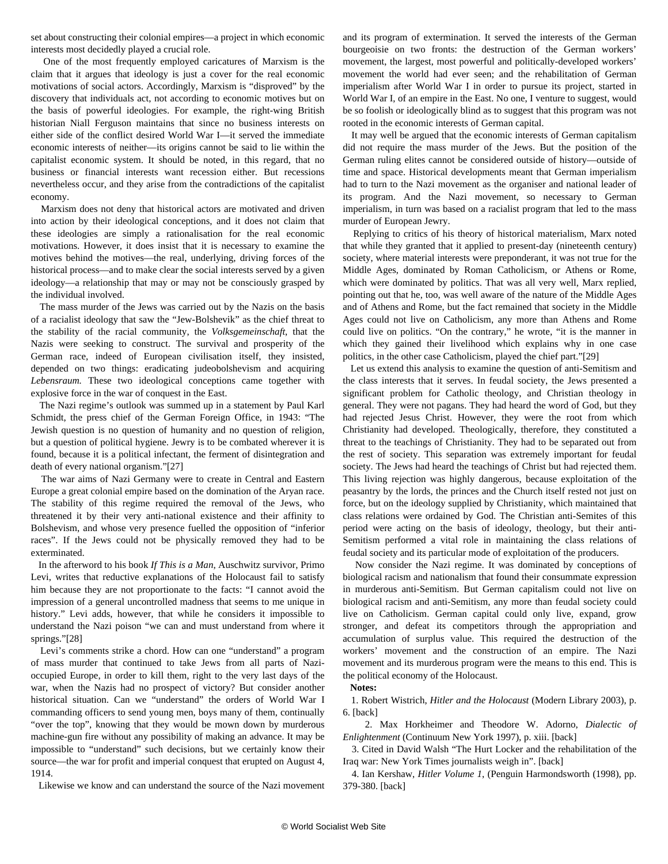<span id="page-7-0"></span>set about constructing their colonial empires—a project in which economic interests most decidedly played a crucial role.

 One of the most frequently employed caricatures of Marxism is the claim that it argues that ideology is just a cover for the real economic motivations of social actors. Accordingly, Marxism is "disproved" by the discovery that individuals act, not according to economic motives but on the basis of powerful ideologies. For example, the right-wing British historian Niall Ferguson maintains that since no business interests on either side of the conflict desired World War I—it served the immediate economic interests of neither—its origins cannot be said to lie within the capitalist economic system. It should be noted, in this regard, that no business or financial interests want recession either. But recessions nevertheless occur, and they arise from the contradictions of the capitalist economy.

 Marxism does not deny that historical actors are motivated and driven into action by their ideological conceptions, and it does not claim that these ideologies are simply a rationalisation for the real economic motivations. However, it does insist that it is necessary to examine the motives behind the motives—the real, underlying, driving forces of the historical process—and to make clear the social interests served by a given ideology—a relationship that may or may not be consciously grasped by the individual involved.

 The mass murder of the Jews was carried out by the Nazis on the basis of a racialist ideology that saw the "Jew-Bolshevik" as the chief threat to the stability of the racial community, the *Volksgemeinschaft*, that the Nazis were seeking to construct. The survival and prosperity of the German race, indeed of European civilisation itself, they insisted, depended on two things: eradicating judeobolshevism and acquiring *Lebensraum.* These two ideological conceptions came together with explosive force in the war of conquest in the East.

 The Nazi regime's outlook was summed up in a statement by Paul Karl Schmidt, the press chief of the German Foreign Office, in 1943: "The Jewish question is no question of humanity and no question of religion, but a question of political hygiene. Jewry is to be combated wherever it is found, because it is a political infectant, the ferment of disintegration and death of every national organism."[27]

 The war aims of Nazi Germany were to create in Central and Eastern Europe a great colonial empire based on the domination of the Aryan race. The stability of this regime required the removal of the Jews, who threatened it by their very anti-national existence and their affinity to Bolshevism, and whose very presence fuelled the opposition of "inferior races". If the Jews could not be physically removed they had to be exterminated.

 In the afterword to his book *If This is a Man*, Auschwitz survivor, Primo Levi, writes that reductive explanations of the Holocaust fail to satisfy him because they are not proportionate to the facts: "I cannot avoid the impression of a general uncontrolled madness that seems to me unique in history." Levi adds, however, that while he considers it impossible to understand the Nazi poison "we can and must understand from where it springs."[28]

 Levi's comments strike a chord. How can one "understand" a program of mass murder that continued to take Jews from all parts of Nazioccupied Europe, in order to kill them, right to the very last days of the war, when the Nazis had no prospect of victory? But consider another historical situation. Can we "understand" the orders of World War I commanding officers to send young men, boys many of them, continually "over the top", knowing that they would be mown down by murderous machine-gun fire without any possibility of making an advance. It may be impossible to "understand" such decisions, but we certainly know their source—the war for profit and imperial conquest that erupted on August 4, 1914.

Likewise we know and can understand the source of the Nazi movement

and its program of extermination. It served the interests of the German bourgeoisie on two fronts: the destruction of the German workers' movement, the largest, most powerful and politically-developed workers' movement the world had ever seen; and the rehabilitation of German imperialism after World War I in order to pursue its project, started in World War I, of an empire in the East. No one, I venture to suggest, would be so foolish or ideologically blind as to suggest that this program was not rooted in the economic interests of German capital.

 It may well be argued that the economic interests of German capitalism did not require the mass murder of the Jews. But the position of the German ruling elites cannot be considered outside of history—outside of time and space. Historical developments meant that German imperialism had to turn to the Nazi movement as the organiser and national leader of its program. And the Nazi movement, so necessary to German imperialism, in turn was based on a racialist program that led to the mass murder of European Jewry.

 Replying to critics of his theory of historical materialism, Marx noted that while they granted that it applied to present-day (nineteenth century) society, where material interests were preponderant, it was not true for the Middle Ages, dominated by Roman Catholicism, or Athens or Rome, which were dominated by politics. That was all very well, Marx replied, pointing out that he, too, was well aware of the nature of the Middle Ages and of Athens and Rome, but the fact remained that society in the Middle Ages could not live on Catholicism, any more than Athens and Rome could live on politics. "On the contrary," he wrote, "it is the manner in which they gained their livelihood which explains why in one case politics, in the other case Catholicism, played the chief part."[29]

 Let us extend this analysis to examine the question of anti-Semitism and the class interests that it serves. In feudal society, the Jews presented a significant problem for Catholic theology, and Christian theology in general. They were not pagans. They had heard the word of God, but they had rejected Jesus Christ. However, they were the root from which Christianity had developed. Theologically, therefore, they constituted a threat to the teachings of Christianity. They had to be separated out from the rest of society. This separation was extremely important for feudal society. The Jews had heard the teachings of Christ but had rejected them. This living rejection was highly dangerous, because exploitation of the peasantry by the lords, the princes and the Church itself rested not just on force, but on the ideology supplied by Christianity, which maintained that class relations were ordained by God. The Christian anti-Semites of this period were acting on the basis of ideology, theology, but their anti-Semitism performed a vital role in maintaining the class relations of feudal society and its particular mode of exploitation of the producers.

 Now consider the Nazi regime. It was dominated by conceptions of biological racism and nationalism that found their consummate expression in murderous anti-Semitism. But German capitalism could not live on biological racism and anti-Semitism, any more than feudal society could live on Catholicism. German capital could only live, expand, grow stronger, and defeat its competitors through the appropriation and accumulation of surplus value. This required the destruction of the workers' movement and the construction of an empire. The Nazi movement and its murderous program were the means to this end. This is the political economy of the Holocaust.

## **Notes:**

 1. Robert Wistrich, *Hitler and the Holocaust* (Modern Library 2003), p. 6. [back]

 2. Max Horkheimer and Theodore W. Adorno, *Dialectic of Enlightenment* (Continuum New York 1997), p. xiii. [back]

 3. Cited in David Walsh ["The Hurt Locker and the rehabilitation of the](/en/articles/2010/mar2010/hurt-m16.shtml) [Iraq war: New York Times journalists weigh in](/en/articles/2010/mar2010/hurt-m16.shtml)". [back]

 4. Ian Kershaw, *Hitler Volume 1*, (Penguin Harmondsworth (1998), pp. 379-380. [back]